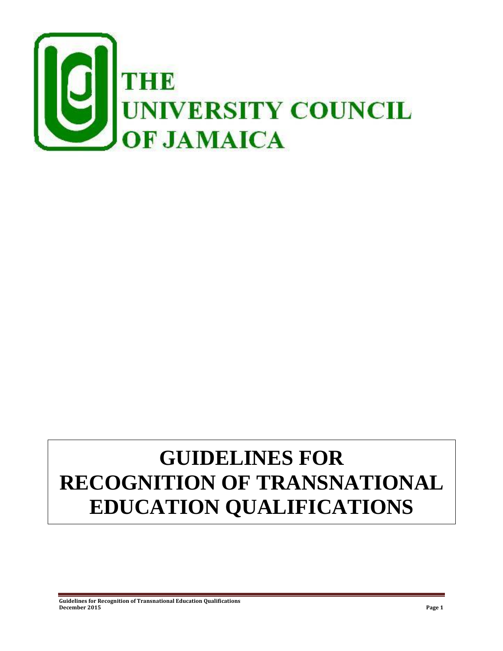

# **GUIDELINES FOR RECOGNITION OF TRANSNATIONAL EDUCATION QUALIFICATIONS**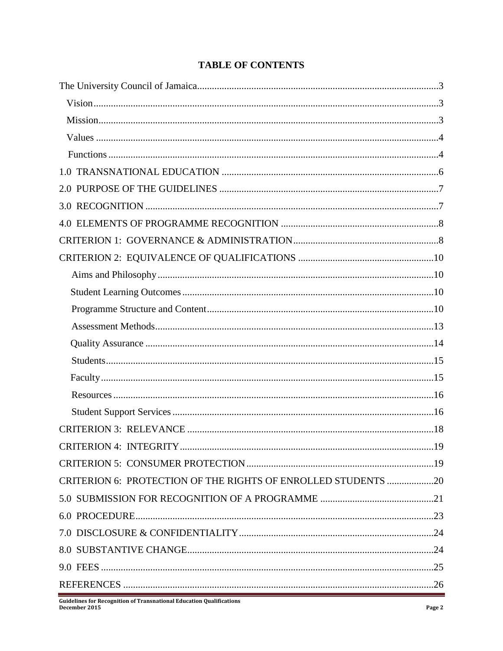# **TABLE OF CONTENTS**

| CRITERION 6: PROTECTION OF THE RIGHTS OF ENROLLED STUDENTS 20 |  |
|---------------------------------------------------------------|--|
|                                                               |  |
|                                                               |  |
|                                                               |  |
|                                                               |  |
|                                                               |  |
|                                                               |  |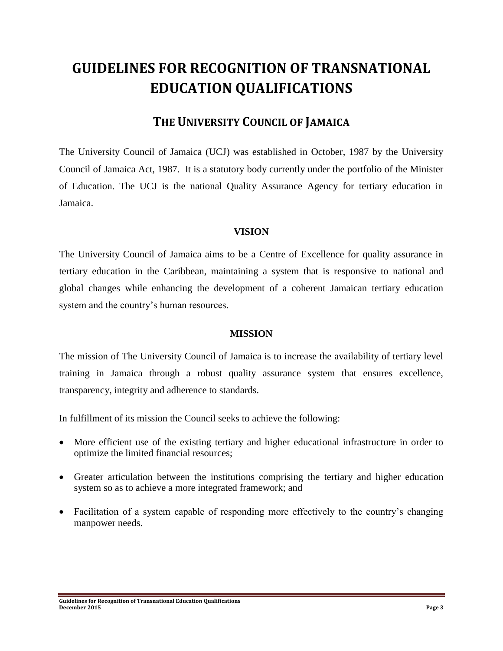# **GUIDELINES FOR RECOGNITION OF TRANSNATIONAL EDUCATION QUALIFICATIONS**

# **THE UNIVERSITY COUNCIL OF JAMAICA**

The University Council of Jamaica (UCJ) was established in October, 1987 by the University Council of Jamaica Act, 1987. It is a statutory body currently under the portfolio of the Minister of Education. The UCJ is the national Quality Assurance Agency for tertiary education in Jamaica.

#### **VISION**

The University Council of Jamaica aims to be a Centre of Excellence for quality assurance in tertiary education in the Caribbean, maintaining a system that is responsive to national and global changes while enhancing the development of a coherent Jamaican tertiary education system and the country's human resources.

#### **MISSION**

The mission of The University Council of Jamaica is to increase the availability of tertiary level training in Jamaica through a robust quality assurance system that ensures excellence, transparency, integrity and adherence to standards.

In fulfillment of its mission the Council seeks to achieve the following:

- More efficient use of the existing tertiary and higher educational infrastructure in order to optimize the limited financial resources;
- Greater articulation between the institutions comprising the tertiary and higher education system so as to achieve a more integrated framework; and
- Facilitation of a system capable of responding more effectively to the country's changing manpower needs.

**Guidelines for Recognition of Transnational Education Qualifications December 2015 Page 3**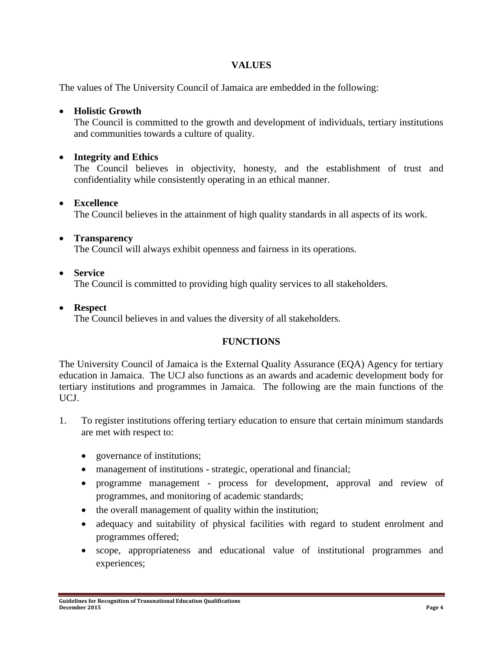## **VALUES**

The values of The University Council of Jamaica are embedded in the following:

#### **Holistic Growth**

The Council is committed to the growth and development of individuals, tertiary institutions and communities towards a culture of quality.

## **Integrity and Ethics**

The Council believes in objectivity, honesty, and the establishment of trust and confidentiality while consistently operating in an ethical manner.

#### **Excellence**

The Council believes in the attainment of high quality standards in all aspects of its work.

#### **Transparency**

The Council will always exhibit openness and fairness in its operations.

#### **Service**

The Council is committed to providing high quality services to all stakeholders.

#### **Respect**

The Council believes in and values the diversity of all stakeholders.

# **FUNCTIONS**

The University Council of Jamaica is the External Quality Assurance (EQA) Agency for tertiary education in Jamaica. The UCJ also functions as an awards and academic development body for tertiary institutions and programmes in Jamaica. The following are the main functions of the UCJ.

- 1. To register institutions offering tertiary education to ensure that certain minimum standards are met with respect to:
	- governance of institutions;
	- management of institutions strategic, operational and financial;
	- programme management process for development, approval and review of programmes, and monitoring of academic standards;
	- the overall management of quality within the institution;
	- adequacy and suitability of physical facilities with regard to student enrolment and programmes offered;
	- scope, appropriateness and educational value of institutional programmes and experiences;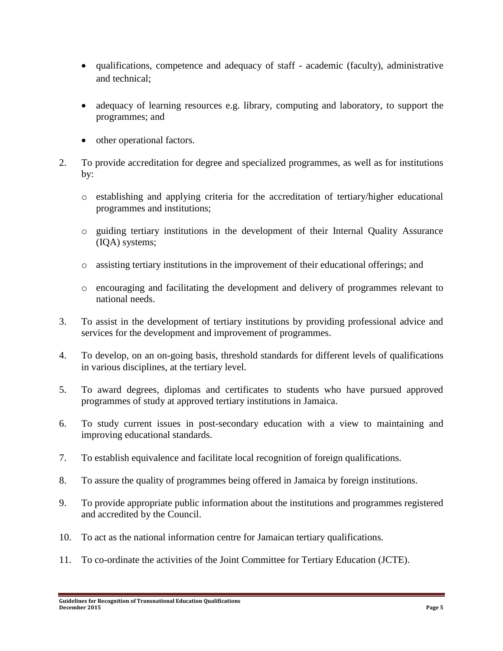- qualifications, competence and adequacy of staff academic (faculty), administrative and technical;
- adequacy of learning resources e.g. library, computing and laboratory, to support the programmes; and
- other operational factors.
- 2. To provide accreditation for degree and specialized programmes, as well as for institutions by:
	- o establishing and applying criteria for the accreditation of tertiary/higher educational programmes and institutions;
	- o guiding tertiary institutions in the development of their Internal Quality Assurance (IQA) systems;
	- o assisting tertiary institutions in the improvement of their educational offerings; and
	- o encouraging and facilitating the development and delivery of programmes relevant to national needs.
- 3. To assist in the development of tertiary institutions by providing professional advice and services for the development and improvement of programmes.
- 4. To develop, on an on-going basis, threshold standards for different levels of qualifications in various disciplines, at the tertiary level.
- 5. To award degrees, diplomas and certificates to students who have pursued approved programmes of study at approved tertiary institutions in Jamaica.
- 6. To study current issues in post-secondary education with a view to maintaining and improving educational standards.
- 7. To establish equivalence and facilitate local recognition of foreign qualifications.
- 8. To assure the quality of programmes being offered in Jamaica by foreign institutions.
- 9. To provide appropriate public information about the institutions and programmes registered and accredited by the Council.
- 10. To act as the national information centre for Jamaican tertiary qualifications.
- 11. To co-ordinate the activities of the Joint Committee for Tertiary Education (JCTE).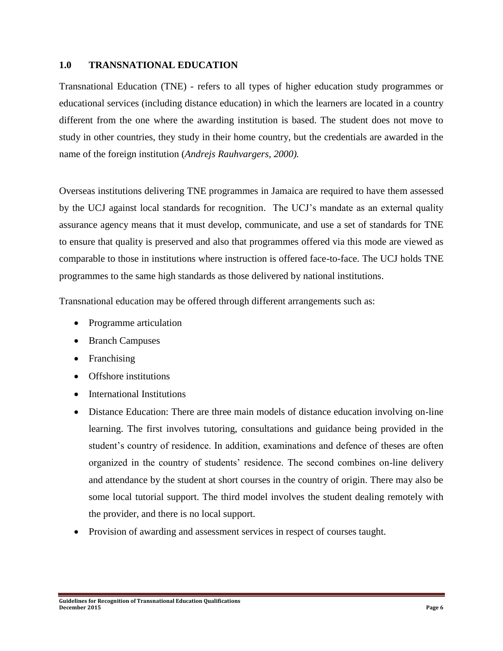#### **1.0 TRANSNATIONAL EDUCATION**

Transnational Education (TNE) - refers to all types of higher education study programmes or educational services (including distance education) in which the learners are located in a country different from the one where the awarding institution is based. The student does not move to study in other countries, they study in their home country, but the credentials are awarded in the name of the foreign institution (*Andrejs Rauhvargers, 2000).*

Overseas institutions delivering TNE programmes in Jamaica are required to have them assessed by the UCJ against local standards for recognition. The UCJ's mandate as an external quality assurance agency means that it must develop, communicate, and use a set of standards for TNE to ensure that quality is preserved and also that programmes offered via this mode are viewed as comparable to those in institutions where instruction is offered face-to-face. The UCJ holds TNE programmes to the same high standards as those delivered by national institutions.

Transnational education may be offered through different arrangements such as:

- Programme articulation
- Branch Campuses
- Franchising
- Offshore institutions
- International Institutions
- Distance Education: There are three main models of distance education involving on-line learning. The first involves tutoring, consultations and guidance being provided in the student's country of residence. In addition, examinations and defence of theses are often organized in the country of students' residence. The second combines on-line delivery and attendance by the student at short courses in the country of origin. There may also be some local tutorial support. The third model involves the student dealing remotely with the provider, and there is no local support.
- Provision of awarding and assessment services in respect of courses taught.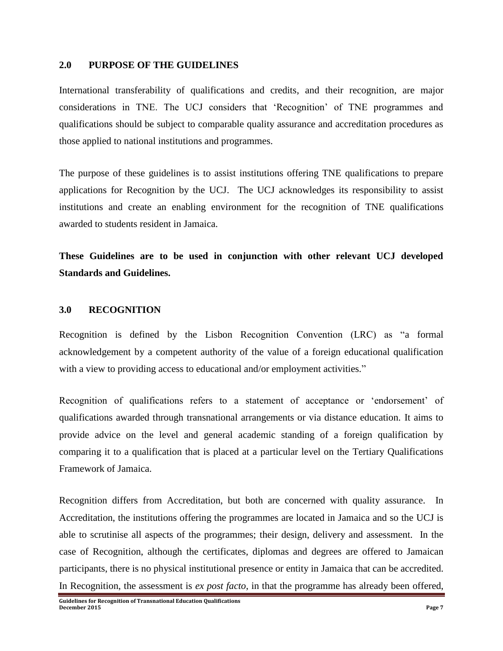#### **2.0 PURPOSE OF THE GUIDELINES**

International transferability of qualifications and credits, and their recognition, are major considerations in TNE. The UCJ considers that 'Recognition' of TNE programmes and qualifications should be subject to comparable quality assurance and accreditation procedures as those applied to national institutions and programmes.

The purpose of these guidelines is to assist institutions offering TNE qualifications to prepare applications for Recognition by the UCJ. The UCJ acknowledges its responsibility to assist institutions and create an enabling environment for the recognition of TNE qualifications awarded to students resident in Jamaica.

**These Guidelines are to be used in conjunction with other relevant UCJ developed Standards and Guidelines.**

#### **3.0 RECOGNITION**

Recognition is defined by the Lisbon Recognition Convention (LRC) as "a formal acknowledgement by a competent authority of the value of a foreign educational qualification with a view to providing access to educational and/or employment activities."

Recognition of qualifications refers to a statement of acceptance or 'endorsement' of qualifications awarded through transnational arrangements or via distance education. It aims to provide advice on the level and general academic standing of a foreign qualification by comparing it to a qualification that is placed at a particular level on the Tertiary Qualifications Framework of Jamaica.

Recognition differs from Accreditation, but both are concerned with quality assurance. In Accreditation, the institutions offering the programmes are located in Jamaica and so the UCJ is able to scrutinise all aspects of the programmes; their design, delivery and assessment. In the case of Recognition, although the certificates, diplomas and degrees are offered to Jamaican participants, there is no physical institutional presence or entity in Jamaica that can be accredited. In Recognition, the assessment is *ex post facto*, in that the programme has already been offered,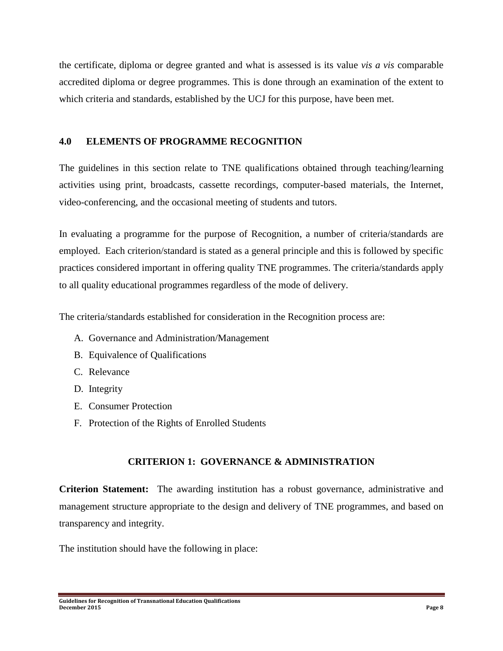the certificate, diploma or degree granted and what is assessed is its value *vis a vis* comparable accredited diploma or degree programmes. This is done through an examination of the extent to which criteria and standards, established by the UCJ for this purpose, have been met.

#### **4.0 ELEMENTS OF PROGRAMME RECOGNITION**

The guidelines in this section relate to TNE qualifications obtained through teaching/learning activities using print, broadcasts, cassette recordings, computer-based materials, the Internet, video-conferencing, and the occasional meeting of students and tutors.

In evaluating a programme for the purpose of Recognition, a number of criteria/standards are employed. Each criterion/standard is stated as a general principle and this is followed by specific practices considered important in offering quality TNE programmes. The criteria/standards apply to all quality educational programmes regardless of the mode of delivery.

The criteria/standards established for consideration in the Recognition process are:

- A. Governance and Administration/Management
- B. Equivalence of Qualifications
- C. Relevance
- D. Integrity
- E. Consumer Protection
- F. Protection of the Rights of Enrolled Students

# **CRITERION 1: GOVERNANCE & ADMINISTRATION**

**Criterion Statement:** The awarding institution has a robust governance, administrative and management structure appropriate to the design and delivery of TNE programmes, and based on transparency and integrity.

The institution should have the following in place: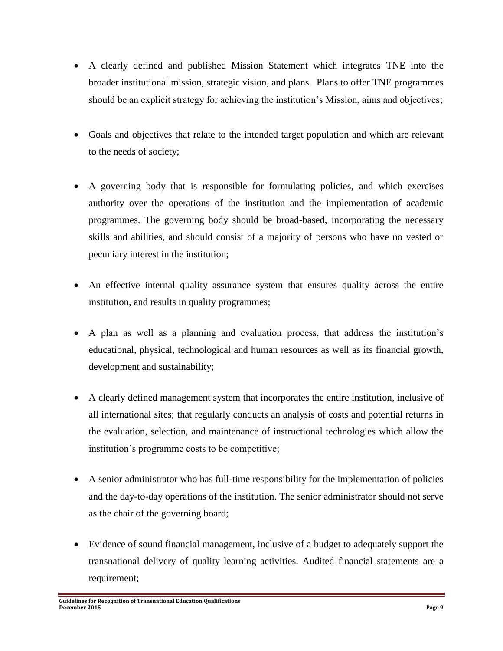- A clearly defined and published Mission Statement which integrates TNE into the broader institutional mission, strategic vision, and plans. Plans to offer TNE programmes should be an explicit strategy for achieving the institution's Mission, aims and objectives;
- Goals and objectives that relate to the intended target population and which are relevant to the needs of society;
- A governing body that is responsible for formulating policies, and which exercises authority over the operations of the institution and the implementation of academic programmes. The governing body should be broad-based, incorporating the necessary skills and abilities, and should consist of a majority of persons who have no vested or pecuniary interest in the institution;
- An effective internal quality assurance system that ensures quality across the entire institution, and results in quality programmes;
- A plan as well as a planning and evaluation process, that address the institution's educational, physical, technological and human resources as well as its financial growth, development and sustainability;
- A clearly defined management system that incorporates the entire institution, inclusive of all international sites; that regularly conducts an analysis of costs and potential returns in the evaluation, selection, and maintenance of instructional technologies which allow the institution's programme costs to be competitive;
- A senior administrator who has full-time responsibility for the implementation of policies and the day-to-day operations of the institution. The senior administrator should not serve as the chair of the governing board;
- Evidence of sound financial management, inclusive of a budget to adequately support the transnational delivery of quality learning activities. Audited financial statements are a requirement;

**Guidelines for Recognition of Transnational Education Qualifications December 2015 Page 9**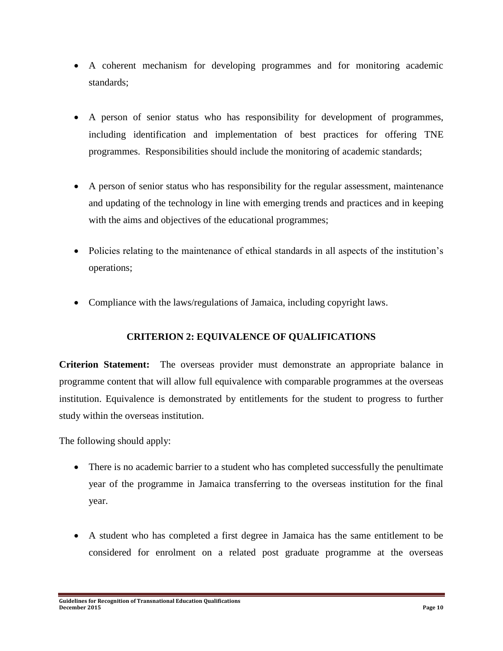- A coherent mechanism for developing programmes and for monitoring academic standards;
- A person of senior status who has responsibility for development of programmes, including identification and implementation of best practices for offering TNE programmes. Responsibilities should include the monitoring of academic standards;
- A person of senior status who has responsibility for the regular assessment, maintenance and updating of the technology in line with emerging trends and practices and in keeping with the aims and objectives of the educational programmes;
- Policies relating to the maintenance of ethical standards in all aspects of the institution's operations;
- Compliance with the laws/regulations of Jamaica, including copyright laws.

#### **CRITERION 2: EQUIVALENCE OF QUALIFICATIONS**

**Criterion Statement:** The overseas provider must demonstrate an appropriate balance in programme content that will allow full equivalence with comparable programmes at the overseas institution. Equivalence is demonstrated by entitlements for the student to progress to further study within the overseas institution.

The following should apply:

- There is no academic barrier to a student who has completed successfully the penultimate year of the programme in Jamaica transferring to the overseas institution for the final year.
- A student who has completed a first degree in Jamaica has the same entitlement to be considered for enrolment on a related post graduate programme at the overseas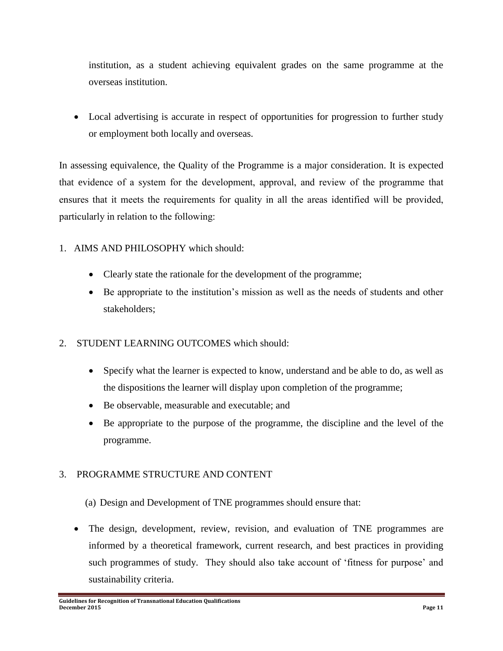institution, as a student achieving equivalent grades on the same programme at the overseas institution.

 Local advertising is accurate in respect of opportunities for progression to further study or employment both locally and overseas.

In assessing equivalence, the Quality of the Programme is a major consideration. It is expected that evidence of a system for the development, approval, and review of the programme that ensures that it meets the requirements for quality in all the areas identified will be provided, particularly in relation to the following:

- 1. AIMS AND PHILOSOPHY which should:
	- Clearly state the rationale for the development of the programme;
	- Be appropriate to the institution's mission as well as the needs of students and other stakeholders;
- 2. STUDENT LEARNING OUTCOMES which should:
	- Specify what the learner is expected to know, understand and be able to do, as well as the dispositions the learner will display upon completion of the programme;
	- Be observable, measurable and executable; and
	- Be appropriate to the purpose of the programme, the discipline and the level of the programme.

#### 3. PROGRAMME STRUCTURE AND CONTENT

- (a) Design and Development of TNE programmes should ensure that:
- The design, development, review, revision, and evaluation of TNE programmes are informed by a theoretical framework, current research, and best practices in providing such programmes of study. They should also take account of 'fitness for purpose' and sustainability criteria.

**Guidelines for Recognition of Transnational Education Qualifications December 2015 Page 11**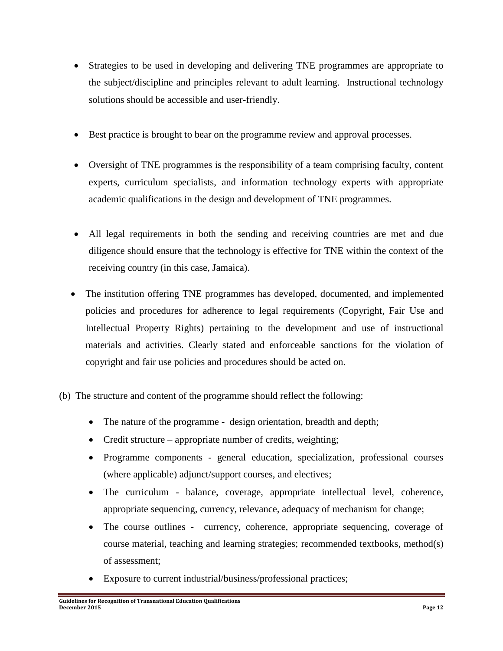- Strategies to be used in developing and delivering TNE programmes are appropriate to the subject/discipline and principles relevant to adult learning. Instructional technology solutions should be accessible and user-friendly.
- Best practice is brought to bear on the programme review and approval processes.
- Oversight of TNE programmes is the responsibility of a team comprising faculty, content experts, curriculum specialists, and information technology experts with appropriate academic qualifications in the design and development of TNE programmes.
- All legal requirements in both the sending and receiving countries are met and due diligence should ensure that the technology is effective for TNE within the context of the receiving country (in this case, Jamaica).
- The institution offering TNE programmes has developed, documented, and implemented policies and procedures for adherence to legal requirements (Copyright, Fair Use and Intellectual Property Rights) pertaining to the development and use of instructional materials and activities. Clearly stated and enforceable sanctions for the violation of copyright and fair use policies and procedures should be acted on.
- (b) The structure and content of the programme should reflect the following:
	- The nature of the programme design orientation, breadth and depth;
	- Credit structure appropriate number of credits, weighting;
	- Programme components general education, specialization, professional courses (where applicable) adjunct/support courses, and electives;
	- The curriculum balance, coverage, appropriate intellectual level, coherence, appropriate sequencing, currency, relevance, adequacy of mechanism for change;
	- The course outlines currency, coherence, appropriate sequencing, coverage of course material, teaching and learning strategies; recommended textbooks, method(s) of assessment;
	- Exposure to current industrial/business/professional practices;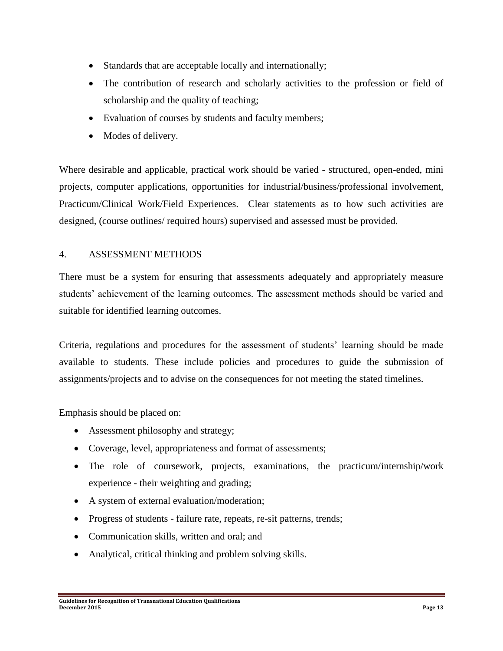- Standards that are acceptable locally and internationally;
- The contribution of research and scholarly activities to the profession or field of scholarship and the quality of teaching;
- Evaluation of courses by students and faculty members;
- Modes of delivery.

Where desirable and applicable, practical work should be varied - structured, open-ended, mini projects, computer applications, opportunities for industrial/business/professional involvement, Practicum/Clinical Work/Field Experiences. Clear statements as to how such activities are designed, (course outlines/ required hours) supervised and assessed must be provided.

#### 4. ASSESSMENT METHODS

There must be a system for ensuring that assessments adequately and appropriately measure students' achievement of the learning outcomes. The assessment methods should be varied and suitable for identified learning outcomes.

Criteria, regulations and procedures for the assessment of students' learning should be made available to students. These include policies and procedures to guide the submission of assignments/projects and to advise on the consequences for not meeting the stated timelines.

Emphasis should be placed on:

- Assessment philosophy and strategy;
- Coverage, level, appropriateness and format of assessments;
- The role of coursework, projects, examinations, the practicum/internship/work experience - their weighting and grading;
- A system of external evaluation/moderation;
- Progress of students failure rate, repeats, re-sit patterns, trends;
- Communication skills, written and oral; and
- Analytical, critical thinking and problem solving skills.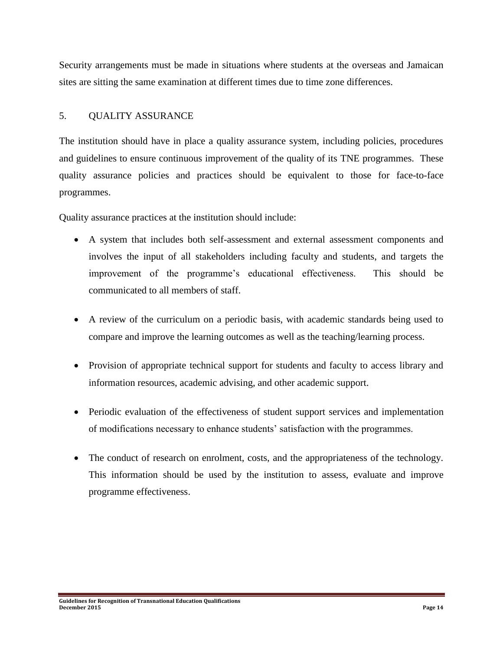Security arrangements must be made in situations where students at the overseas and Jamaican sites are sitting the same examination at different times due to time zone differences.

#### 5. QUALITY ASSURANCE

The institution should have in place a quality assurance system, including policies, procedures and guidelines to ensure continuous improvement of the quality of its TNE programmes. These quality assurance policies and practices should be equivalent to those for face-to-face programmes.

Quality assurance practices at the institution should include:

- A system that includes both self-assessment and external assessment components and involves the input of all stakeholders including faculty and students, and targets the improvement of the programme's educational effectiveness. This should be communicated to all members of staff.
- A review of the curriculum on a periodic basis, with academic standards being used to compare and improve the learning outcomes as well as the teaching/learning process.
- Provision of appropriate technical support for students and faculty to access library and information resources, academic advising, and other academic support.
- Periodic evaluation of the effectiveness of student support services and implementation of modifications necessary to enhance students' satisfaction with the programmes.
- The conduct of research on enrolment, costs, and the appropriateness of the technology. This information should be used by the institution to assess, evaluate and improve programme effectiveness.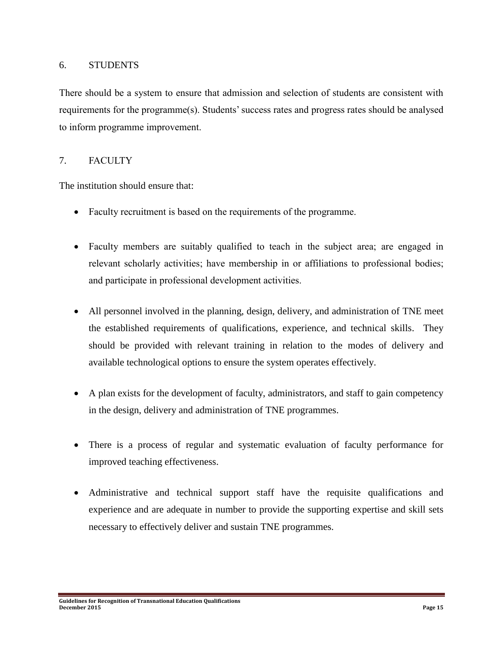#### 6. STUDENTS

There should be a system to ensure that admission and selection of students are consistent with requirements for the programme(s). Students' success rates and progress rates should be analysed to inform programme improvement.

#### 7. FACULTY

The institution should ensure that:

- Faculty recruitment is based on the requirements of the programme.
- Faculty members are suitably qualified to teach in the subject area; are engaged in relevant scholarly activities; have membership in or affiliations to professional bodies; and participate in professional development activities.
- All personnel involved in the planning, design, delivery, and administration of TNE meet the established requirements of qualifications, experience, and technical skills. They should be provided with relevant training in relation to the modes of delivery and available technological options to ensure the system operates effectively.
- A plan exists for the development of faculty, administrators, and staff to gain competency in the design, delivery and administration of TNE programmes.
- There is a process of regular and systematic evaluation of faculty performance for improved teaching effectiveness.
- Administrative and technical support staff have the requisite qualifications and experience and are adequate in number to provide the supporting expertise and skill sets necessary to effectively deliver and sustain TNE programmes.

**Guidelines for Recognition of Transnational Education Qualifications December 2015 Page 15**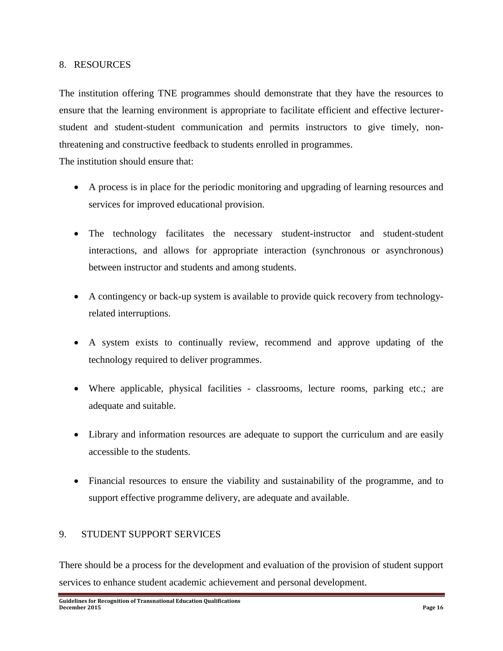#### 8. RESOURCES

The institution offering TNE programmes should demonstrate that they have the resources to ensure that the learning environment is appropriate to facilitate efficient and effective lecturerstudent and student-student communication and permits instructors to give timely, nonthreatening and constructive feedback to students enrolled in programmes.

The institution should ensure that:

- A process is in place for the periodic monitoring and upgrading of learning resources and services for improved educational provision.
- The technology facilitates the necessary student-instructor and student-student interactions, and allows for appropriate interaction (synchronous or asynchronous) between instructor and students and among students.
- A contingency or back-up system is available to provide quick recovery from technologyrelated interruptions.
- A system exists to continually review, recommend and approve updating of the technology required to deliver programmes.
- Where applicable, physical facilities classrooms, lecture rooms, parking etc.; are adequate and suitable.
- Library and information resources are adequate to support the curriculum and are easily accessible to the students.
- Financial resources to ensure the viability and sustainability of the programme, and to support effective programme delivery, are adequate and available.

#### 9. STUDENT SUPPORT SERVICES

There should be a process for the development and evaluation of the provision of student support services to enhance student academic achievement and personal development.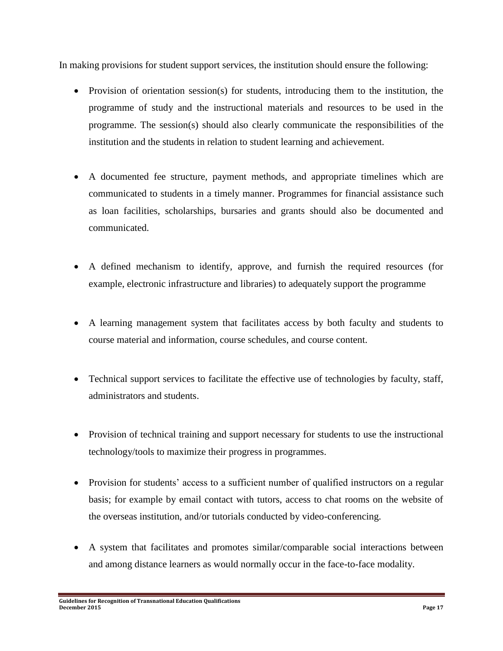In making provisions for student support services, the institution should ensure the following:

- Provision of orientation session(s) for students, introducing them to the institution, the programme of study and the instructional materials and resources to be used in the programme. The session(s) should also clearly communicate the responsibilities of the institution and the students in relation to student learning and achievement.
- A documented fee structure, payment methods, and appropriate timelines which are communicated to students in a timely manner. Programmes for financial assistance such as loan facilities, scholarships, bursaries and grants should also be documented and communicated.
- A defined mechanism to identify, approve, and furnish the required resources (for example, electronic infrastructure and libraries) to adequately support the programme
- A learning management system that facilitates access by both faculty and students to course material and information, course schedules, and course content.
- Technical support services to facilitate the effective use of technologies by faculty, staff, administrators and students.
- Provision of technical training and support necessary for students to use the instructional technology/tools to maximize their progress in programmes.
- Provision for students' access to a sufficient number of qualified instructors on a regular basis; for example by email contact with tutors, access to chat rooms on the website of the overseas institution, and/or tutorials conducted by video-conferencing.
- A system that facilitates and promotes similar/comparable social interactions between and among distance learners as would normally occur in the face-to-face modality.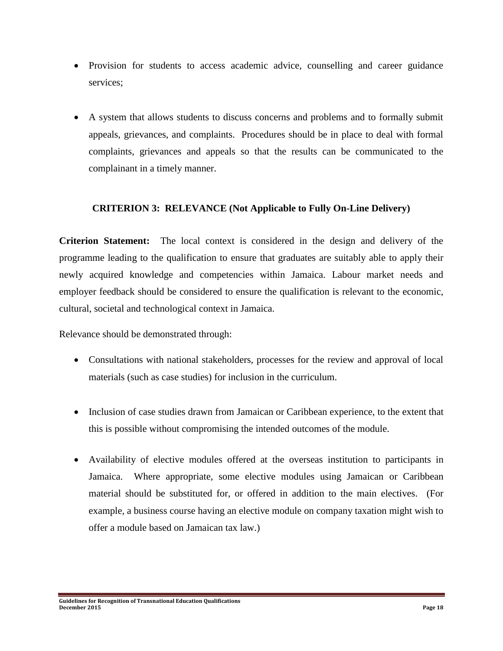- Provision for students to access academic advice, counselling and career guidance services;
- A system that allows students to discuss concerns and problems and to formally submit appeals, grievances, and complaints. Procedures should be in place to deal with formal complaints, grievances and appeals so that the results can be communicated to the complainant in a timely manner.

#### **CRITERION 3: RELEVANCE (Not Applicable to Fully On-Line Delivery)**

**Criterion Statement:** The local context is considered in the design and delivery of the programme leading to the qualification to ensure that graduates are suitably able to apply their newly acquired knowledge and competencies within Jamaica. Labour market needs and employer feedback should be considered to ensure the qualification is relevant to the economic, cultural, societal and technological context in Jamaica.

Relevance should be demonstrated through:

- Consultations with national stakeholders, processes for the review and approval of local materials (such as case studies) for inclusion in the curriculum.
- Inclusion of case studies drawn from Jamaican or Caribbean experience, to the extent that this is possible without compromising the intended outcomes of the module.
- Availability of elective modules offered at the overseas institution to participants in Jamaica. Where appropriate, some elective modules using Jamaican or Caribbean material should be substituted for, or offered in addition to the main electives. (For example, a business course having an elective module on company taxation might wish to offer a module based on Jamaican tax law.)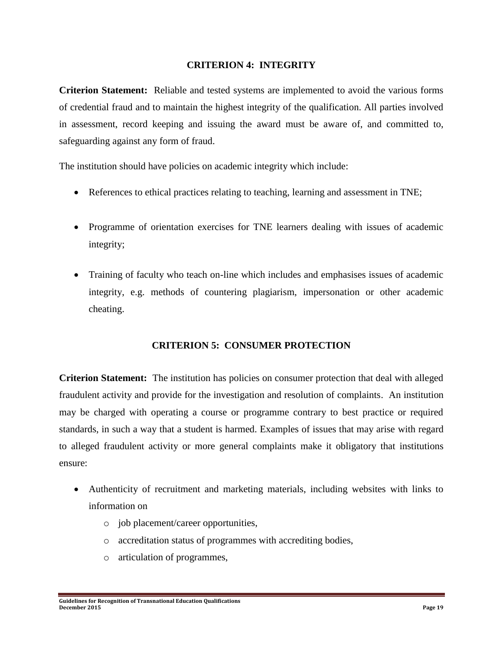#### **CRITERION 4: INTEGRITY**

**Criterion Statement:** Reliable and tested systems are implemented to avoid the various forms of credential fraud and to maintain the highest integrity of the qualification. All parties involved in assessment, record keeping and issuing the award must be aware of, and committed to, safeguarding against any form of fraud.

The institution should have policies on academic integrity which include:

- References to ethical practices relating to teaching, learning and assessment in TNE;
- Programme of orientation exercises for TNE learners dealing with issues of academic integrity;
- Training of faculty who teach on-line which includes and emphasises issues of academic integrity, e.g. methods of countering plagiarism, impersonation or other academic cheating.

#### **CRITERION 5: CONSUMER PROTECTION**

**Criterion Statement:** The institution has policies on consumer protection that deal with alleged fraudulent activity and provide for the investigation and resolution of complaints. An institution may be charged with operating a course or programme contrary to best practice or required standards, in such a way that a student is harmed. Examples of issues that may arise with regard to alleged fraudulent activity or more general complaints make it obligatory that institutions ensure:

- Authenticity of recruitment and marketing materials, including websites with links to information on
	- o job placement/career opportunities,
	- o accreditation status of programmes with accrediting bodies,
	- o articulation of programmes,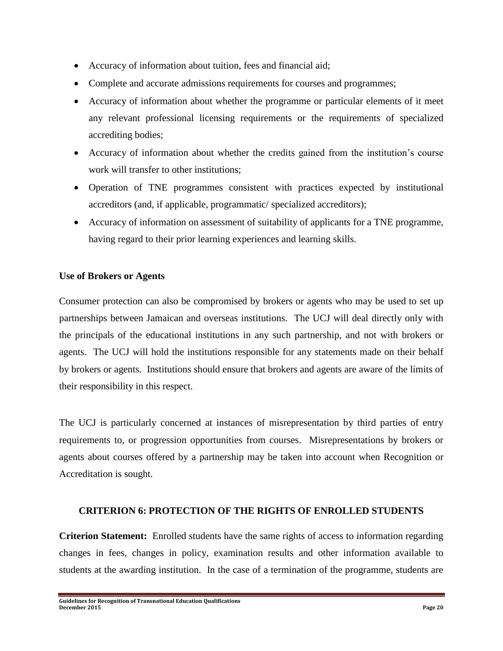- Accuracy of information about tuition, fees and financial aid;
- Complete and accurate admissions requirements for courses and programmes;
- Accuracy of information about whether the programme or particular elements of it meet any relevant professional licensing requirements or the requirements of specialized accrediting bodies;
- Accuracy of information about whether the credits gained from the institution's course work will transfer to other institutions;
- Operation of TNE programmes consistent with practices expected by institutional accreditors (and, if applicable, programmatic/ specialized accreditors);
- Accuracy of information on assessment of suitability of applicants for a TNE programme, having regard to their prior learning experiences and learning skills.

#### **Use of Brokers or Agents**

Consumer protection can also be compromised by brokers or agents who may be used to set up partnerships between Jamaican and overseas institutions. The UCJ will deal directly only with the principals of the educational institutions in any such partnership, and not with brokers or agents. The UCJ will hold the institutions responsible for any statements made on their behalf by brokers or agents. Institutions should ensure that brokers and agents are aware of the limits of their responsibility in this respect.

The UCJ is particularly concerned at instances of misrepresentation by third parties of entry requirements to, or progression opportunities from courses. Misrepresentations by brokers or agents about courses offered by a partnership may be taken into account when Recognition or Accreditation is sought.

#### **CRITERION 6: PROTECTION OF THE RIGHTS OF ENROLLED STUDENTS**

**Criterion Statement:** Enrolled students have the same rights of access to information regarding changes in fees, changes in policy, examination results and other information available to students at the awarding institution. In the case of a termination of the programme, students are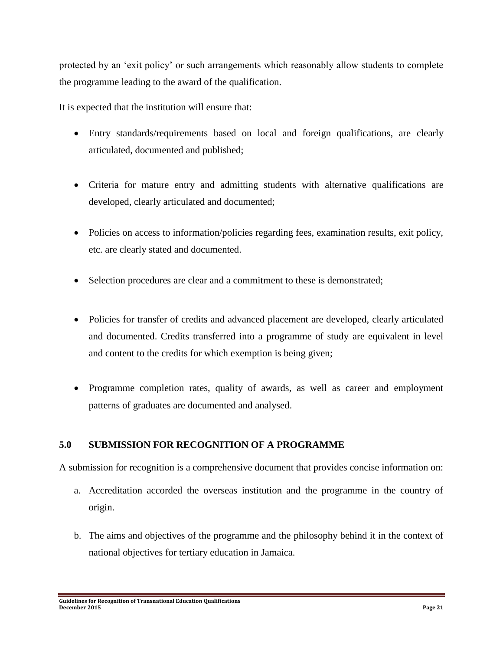protected by an 'exit policy' or such arrangements which reasonably allow students to complete the programme leading to the award of the qualification.

It is expected that the institution will ensure that:

- Entry standards/requirements based on local and foreign qualifications, are clearly articulated, documented and published;
- Criteria for mature entry and admitting students with alternative qualifications are developed, clearly articulated and documented;
- Policies on access to information/policies regarding fees, examination results, exit policy, etc. are clearly stated and documented.
- Selection procedures are clear and a commitment to these is demonstrated;
- Policies for transfer of credits and advanced placement are developed, clearly articulated and documented. Credits transferred into a programme of study are equivalent in level and content to the credits for which exemption is being given;
- Programme completion rates, quality of awards, as well as career and employment patterns of graduates are documented and analysed.

# **5.0 SUBMISSION FOR RECOGNITION OF A PROGRAMME**

A submission for recognition is a comprehensive document that provides concise information on:

- a. Accreditation accorded the overseas institution and the programme in the country of origin.
- b. The aims and objectives of the programme and the philosophy behind it in the context of national objectives for tertiary education in Jamaica.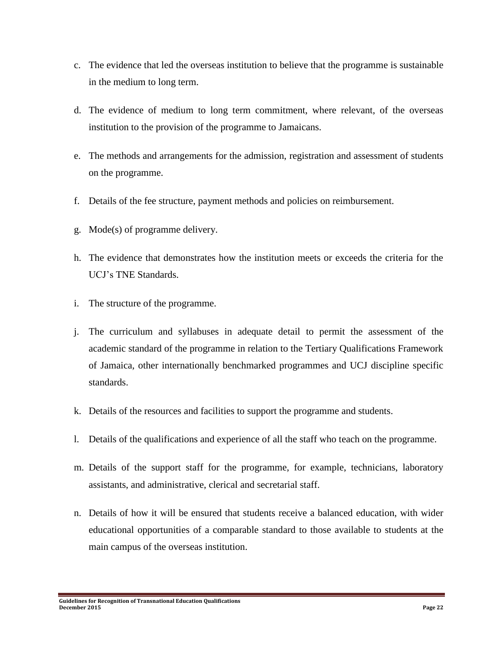- c. The evidence that led the overseas institution to believe that the programme is sustainable in the medium to long term.
- d. The evidence of medium to long term commitment, where relevant, of the overseas institution to the provision of the programme to Jamaicans.
- e. The methods and arrangements for the admission, registration and assessment of students on the programme.
- f. Details of the fee structure, payment methods and policies on reimbursement.
- g. Mode(s) of programme delivery.
- h. The evidence that demonstrates how the institution meets or exceeds the criteria for the UCJ's TNE Standards.
- i. The structure of the programme.
- j. The curriculum and syllabuses in adequate detail to permit the assessment of the academic standard of the programme in relation to the Tertiary Qualifications Framework of Jamaica*,* other internationally benchmarked programmes and UCJ discipline specific standards.
- k. Details of the resources and facilities to support the programme and students.
- l. Details of the qualifications and experience of all the staff who teach on the programme.
- m. Details of the support staff for the programme, for example, technicians, laboratory assistants, and administrative, clerical and secretarial staff.
- n. Details of how it will be ensured that students receive a balanced education, with wider educational opportunities of a comparable standard to those available to students at the main campus of the overseas institution.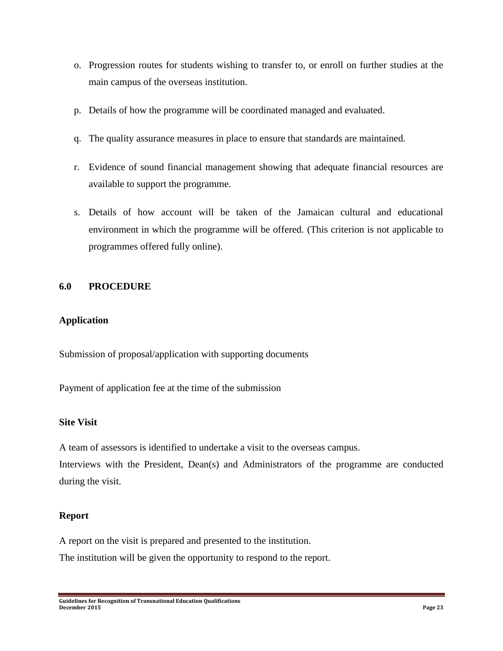- o. Progression routes for students wishing to transfer to, or enroll on further studies at the main campus of the overseas institution.
- p. Details of how the programme will be coordinated managed and evaluated.
- q. The quality assurance measures in place to ensure that standards are maintained.
- r. Evidence of sound financial management showing that adequate financial resources are available to support the programme.
- s. Details of how account will be taken of the Jamaican cultural and educational environment in which the programme will be offered. (This criterion is not applicable to programmes offered fully online).

#### **6.0 PROCEDURE**

#### **Application**

Submission of proposal/application with supporting documents

Payment of application fee at the time of the submission

#### **Site Visit**

A team of assessors is identified to undertake a visit to the overseas campus.

Interviews with the President, Dean(s) and Administrators of the programme are conducted during the visit.

#### **Report**

A report on the visit is prepared and presented to the institution.

The institution will be given the opportunity to respond to the report.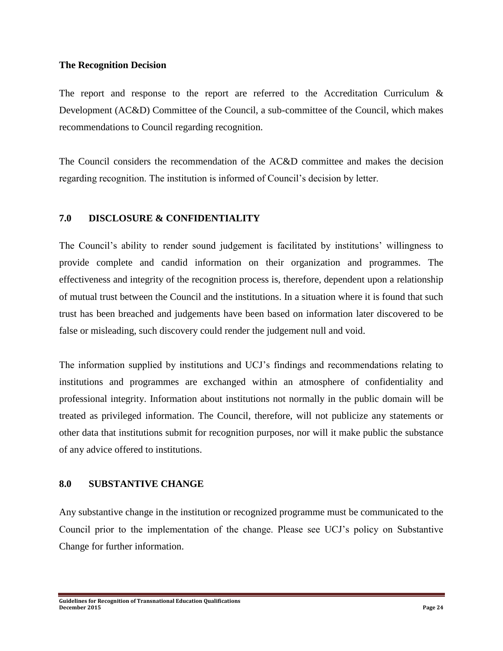#### **The Recognition Decision**

The report and response to the report are referred to the Accreditation Curriculum & Development (AC&D) Committee of the Council, a sub-committee of the Council, which makes recommendations to Council regarding recognition.

The Council considers the recommendation of the AC&D committee and makes the decision regarding recognition. The institution is informed of Council's decision by letter.

#### **7.0 DISCLOSURE & CONFIDENTIALITY**

The Council's ability to render sound judgement is facilitated by institutions' willingness to provide complete and candid information on their organization and programmes. The effectiveness and integrity of the recognition process is, therefore, dependent upon a relationship of mutual trust between the Council and the institutions. In a situation where it is found that such trust has been breached and judgements have been based on information later discovered to be false or misleading, such discovery could render the judgement null and void.

The information supplied by institutions and UCJ's findings and recommendations relating to institutions and programmes are exchanged within an atmosphere of confidentiality and professional integrity. Information about institutions not normally in the public domain will be treated as privileged information. The Council, therefore, will not publicize any statements or other data that institutions submit for recognition purposes, nor will it make public the substance of any advice offered to institutions.

#### **8.0 SUBSTANTIVE CHANGE**

Any substantive change in the institution or recognized programme must be communicated to the Council prior to the implementation of the change. Please see UCJ's policy on Substantive Change for further information.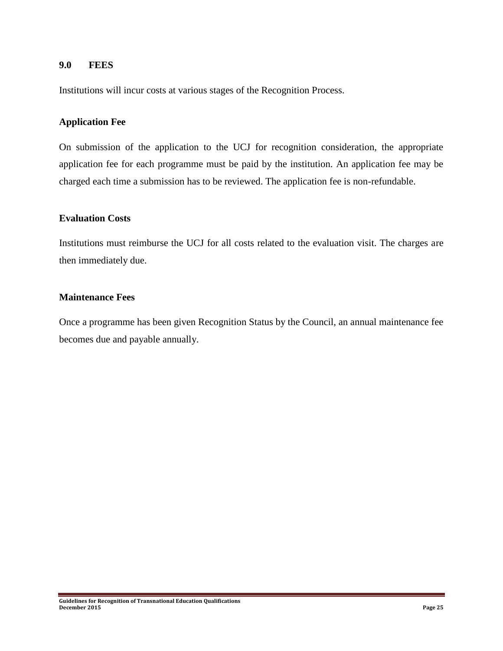#### **9.0 FEES**

Institutions will incur costs at various stages of the Recognition Process.

#### **Application Fee**

On submission of the application to the UCJ for recognition consideration, the appropriate application fee for each programme must be paid by the institution. An application fee may be charged each time a submission has to be reviewed. The application fee is non-refundable.

#### **Evaluation Costs**

Institutions must reimburse the UCJ for all costs related to the evaluation visit. The charges are then immediately due.

#### **Maintenance Fees**

Once a programme has been given Recognition Status by the Council, an annual maintenance fee becomes due and payable annually.